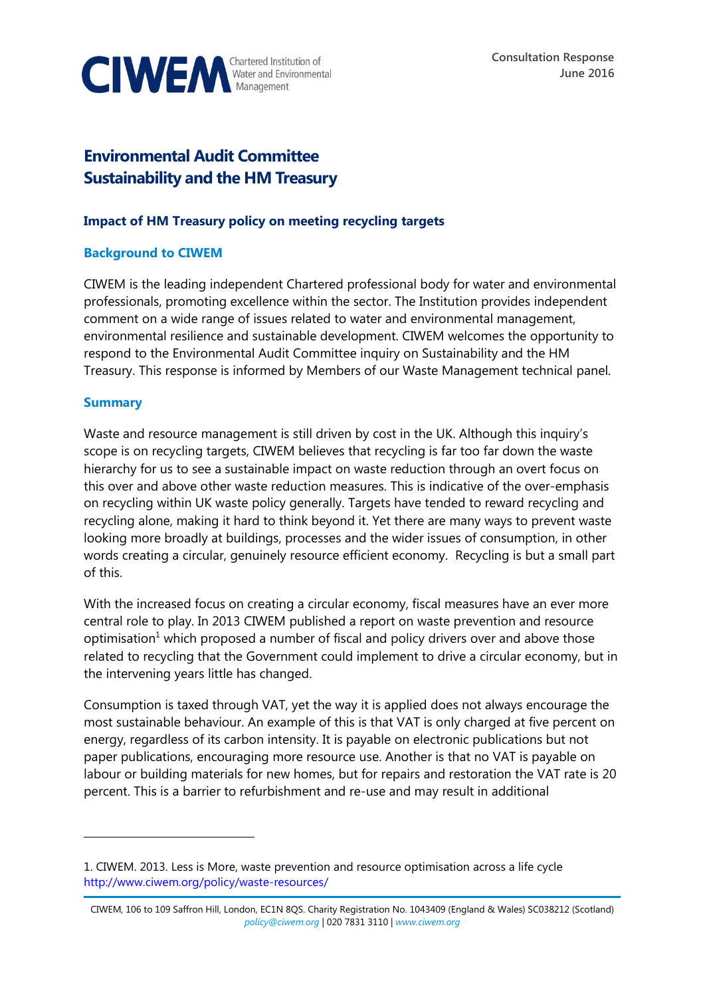

# **Environmental Audit Committee Sustainability and the HM Treasury**

## **Impact of HM Treasury policy on meeting recycling targets**

## **Background to CIWEM**

CIWEM is the leading independent Chartered professional body for water and environmental professionals, promoting excellence within the sector. The Institution provides independent comment on a wide range of issues related to water and environmental management, environmental resilience and sustainable development. CIWEM welcomes the opportunity to respond to the Environmental Audit Committee inquiry on Sustainability and the HM Treasury. This response is informed by Members of our Waste Management technical panel.

#### **Summary**

 $\overline{a}$ 

Waste and resource management is still driven by cost in the UK. Although this inquiry's scope is on recycling targets, CIWEM believes that recycling is far too far down the waste hierarchy for us to see a sustainable impact on waste reduction through an overt focus on this over and above other waste reduction measures. This is indicative of the over-emphasis on recycling within UK waste policy generally. Targets have tended to reward recycling and recycling alone, making it hard to think beyond it. Yet there are many ways to prevent waste looking more broadly at buildings, processes and the wider issues of consumption, in other words creating a circular, genuinely resource efficient economy. Recycling is but a small part of this.

With the increased focus on creating a circular economy, fiscal measures have an ever more central role to play. In 2013 CIWEM published a report on waste prevention and resource optimisation<sup>1</sup> which proposed a number of fiscal and policy drivers over and above those related to recycling that the Government could implement to drive a circular economy, but in the intervening years little has changed.

Consumption is taxed through VAT, yet the way it is applied does not always encourage the most sustainable behaviour. An example of this is that VAT is only charged at five percent on energy, regardless of its carbon intensity. It is payable on electronic publications but not paper publications, encouraging more resource use. Another is that no VAT is payable on labour or building materials for new homes, but for repairs and restoration the VAT rate is 20 percent. This is a barrier to refurbishment and re-use and may result in additional

<sup>1.</sup> CIWEM. 2013. [Less is More, waste prevention and resource optimisation across a life cycle](http://www.ciwem.org/wp-content/uploads/2016/02/Less-is-More.pdf) <http://www.ciwem.org/policy/waste-resources/>

CIWEM, 106 to 109 Saffron Hill, London, EC1N 8QS. Charity Registration No. 1043409 (England & Wales) SC038212 (Scotland) *[policy@ciwem.org](mailto:policy@ciwem.org)* | 020 7831 3110 | *[www.ciwem.org](http://www.ciwem.org/)*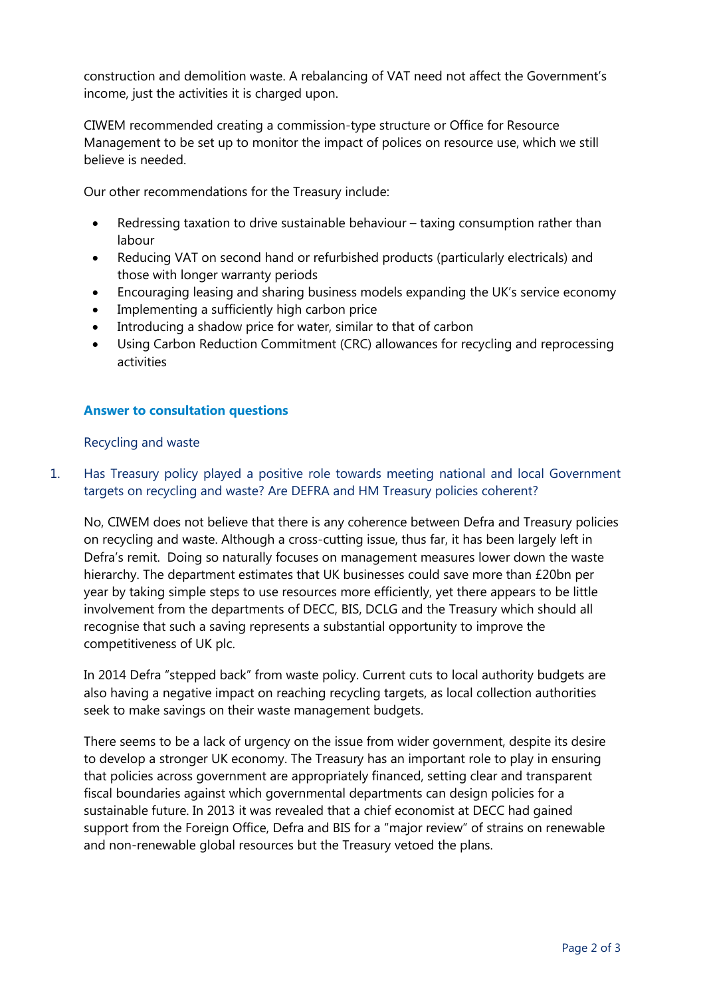construction and demolition waste. A rebalancing of VAT need not affect the Government's income, just the activities it is charged upon.

CIWEM recommended creating a commission-type structure or Office for Resource Management to be set up to monitor the impact of polices on resource use, which we still believe is needed.

Our other recommendations for the Treasury include:

- Redressing taxation to drive sustainable behaviour taxing consumption rather than labour
- Reducing VAT on second hand or refurbished products (particularly electricals) and those with longer warranty periods
- Encouraging leasing and sharing business models expanding the UK's service economy
- Implementing a sufficiently high carbon price
- Introducing a shadow price for water, similar to that of carbon
- Using Carbon Reduction Commitment (CRC) allowances for recycling and reprocessing activities

#### **Answer to consultation questions**

Recycling and waste

## 1. Has Treasury policy played a positive role towards meeting national and local Government targets on recycling and waste? Are DEFRA and HM Treasury policies coherent?

No, CIWEM does not believe that there is any coherence between Defra and Treasury policies on recycling and waste. Although a cross-cutting issue, thus far, it has been largely left in Defra's remit. Doing so naturally focuses on management measures lower down the waste hierarchy. The department estimates that UK businesses could save more than £20bn per year by taking simple steps to use resources more efficiently, yet there appears to be little involvement from the departments of DECC, BIS, DCLG and the Treasury which should all recognise that such a saving represents a substantial opportunity to improve the competitiveness of UK plc.

In 2014 Defra "stepped back" from waste policy. Current cuts to local authority budgets are also having a negative impact on reaching recycling targets, as local collection authorities seek to make savings on their waste management budgets.

There seems to be a lack of urgency on the issue from wider government, despite its desire to develop a stronger UK economy. The Treasury has an important role to play in ensuring that policies across government are appropriately financed, setting clear and transparent fiscal boundaries against which governmental departments can design policies for a sustainable future. In 2013 it was revealed that a chief economist at DECC had gained support from the Foreign Office, Defra and BIS for a "major review" of strains on renewable and non-renewable global resources but the Treasury vetoed the plans.